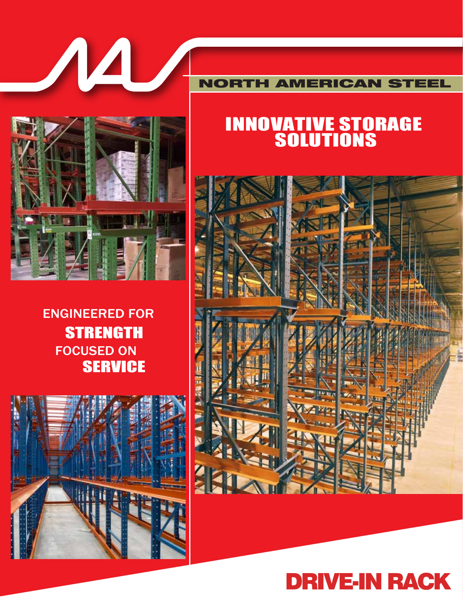

#### NORTH AMERICAN STEEL

# INNOVATIVE STORAGE SOLUTIONS







# **STRENGTH** FOCUSED ON **SERVICE** ENGINEERED FOR

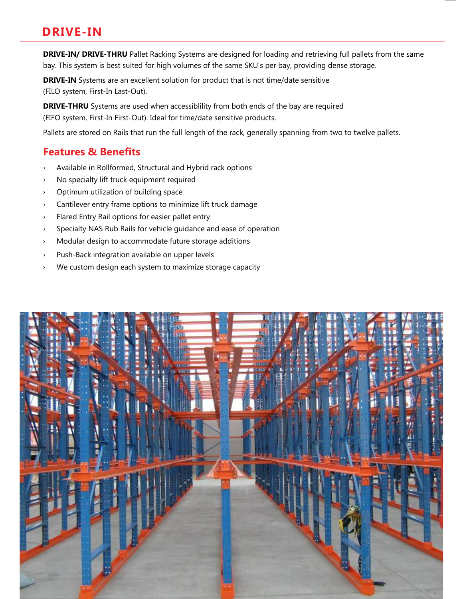### **DRIVE-IN**

**DRIVE-IN/ DRIVE-THRU** Pallet Racking Systems are designed for loading and retrieving full pallets from the same bay. This system is best suited for high volumes of the same SKU's per bay, providing dense storage.

**DRIVE-IN** Systems are an excellent solution for product that is not time/date sensitive (FILO system, First-In Last-Out).

**DRIVE-THRU** Systems are used when accessiblility from both ends of the bay are required (FIFO system, First-In First-Out). Ideal for time/date sensitive products.

Pallets are stored on Rails that run the full length of the rack, generally spanning from two to twelve pallets.

#### **Features & Benefits**

- › Available in Rollformed, Structural and Hybrid rack options
- › No specialty lift truck equipment required
- › Optimum utilization of building space
- › Cantilever entry frame options to minimize lift truck damage
- › Flared Entry Rail options for easier pallet entry
- › Specialty NAS Rub Rails for vehicle guidance and ease of operation
- › Modular design to accommodate future storage additions
- › Push-Back integration available on upper levels
- › We custom design each system to maximize storage capacity

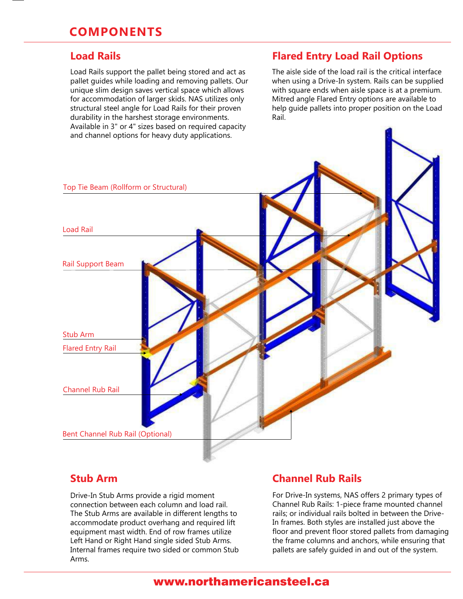Load Rails support the pallet being stored and act as pallet guides while loading and removing pallets. Our unique slim design saves vertical space which allows for accommodation of larger skids. NAS utilizes only structural steel angle for Load Rails for their proven durability in the harshest storage environments. Available in 3" or 4" sizes based on required capacity and channel options for heavy duty applications.

#### **Load Rails Flared Entry Load Rail Options**

The aisle side of the load rail is the critical interface when using a Drive-In system. Rails can be supplied with square ends when aisle space is at a premium. Mitred angle Flared Entry options are available to help guide pallets into proper position on the Load Rail.



#### **Stub Arm**

Drive-In Stub Arms provide a rigid moment connection between each column and load rail. The Stub Arms are available in different lengths to accommodate product overhang and required lift equipment mast width. End of row frames utilize Left Hand or Right Hand single sided Stub Arms. Internal frames require two sided or common Stub Arms.

#### **Channel Rub Rails**

For Drive-In systems, NAS offers 2 primary types of Channel Rub Rails: 1-piece frame mounted channel rails; or individual rails bolted in between the Drive-In frames. Both styles are installed just above the floor and prevent floor stored pallets from damaging the frame columns and anchors, while ensuring that pallets are safely guided in and out of the system.

#### www.northamericansteel.ca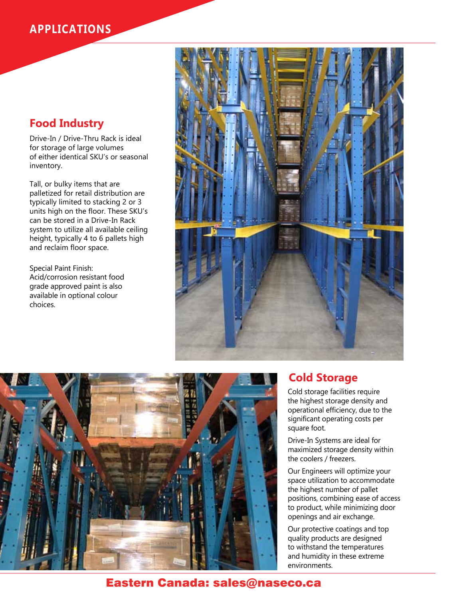### **APPLICATIONS**

### **Food Industry**

Drive-In / Drive-Thru Rack is ideal for storage of large volumes of either identical SKU's or seasonal inventory.

Tall, or bulky items that are palletized for retail distribution are typically limited to stacking 2 or 3 units high on the floor. These SKU's can be stored in a Drive-In Rack system to utilize all available ceiling height, typically 4 to 6 pallets high and reclaim floor space.

Special Paint Finish: Acid/corrosion resistant food grade approved paint is also available in optional colour choices.





#### **Cold Storage**

Cold storage facilities require the highest storage density and operational efficiency, due to the significant operating costs per square foot.

Drive-In Systems are ideal for maximized storage density within the coolers / freezers.

Our Engineers will optimize your space utilization to accommodate the highest number of pallet positions, combining ease of access to product, while minimizing door openings and air exchange.

Our protective coatings and top quality products are designed to withstand the temperatures and humidity in these extreme environments.

#### Eastern Canada: sales@naseco.ca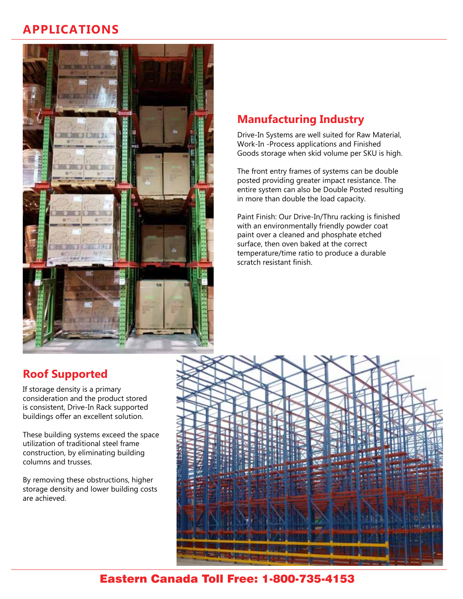## **APPLICATIONS**



### **Manufacturing Industry**

Drive-In Systems are well suited for Raw Material, Work-In -Process applications and Finished Goods storage when skid volume per SKU is high.

The front entry frames of systems can be double posted providing greater impact resistance. The entire system can also be Double Posted resulting in more than double the load capacity.

Paint Finish: Our Drive-In/Thru racking is finished with an environmentally friendly powder coat paint over a cleaned and phosphate etched surface, then oven baked at the correct temperature/time ratio to produce a durable scratch resistant finish.

## **Roof Supported**

If storage density is a primary consideration and the product stored is consistent, Drive-In Rack supported buildings offer an excellent solution.

These building systems exceed the space utilization of traditional steel frame construction, by eliminating building columns and trusses.

By removing these obstructions, higher storage density and lower building costs are achieved.



### Eastern Canada Toll Free: 1-800-735-4153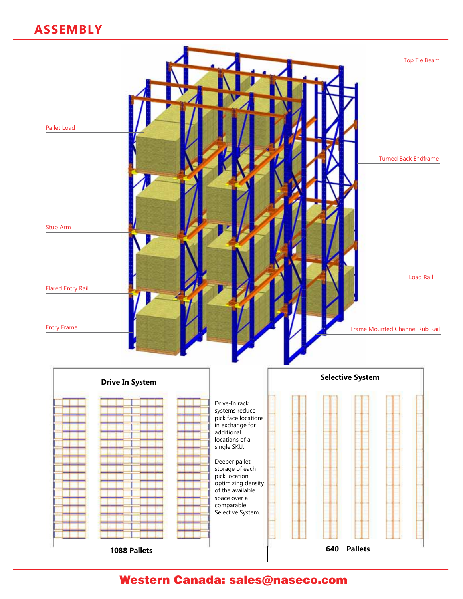## **ASSEMBLY**



Western Canada: sales@naseco.com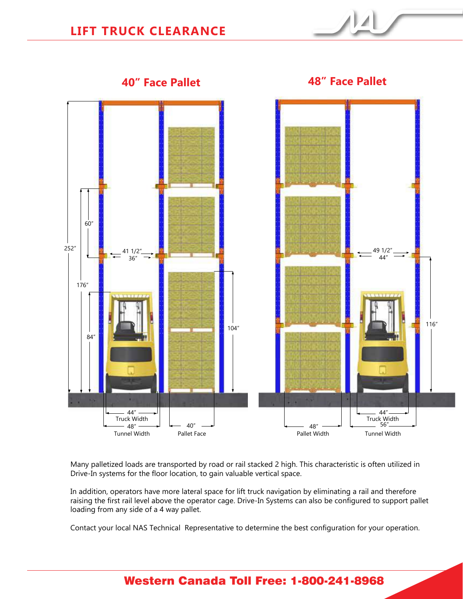



**40" Face Pallet 48" Face Pallet**

Many palletized loads are transported by road or rail stacked 2 high. This characteristic is often utilized in Drive-In systems for the floor location, to gain valuable vertical space.

In addition, operators have more lateral space for lift truck navigation by eliminating a rail and therefore raising the first rail level above the operator cage. Drive-In Systems can also be configured to support pallet loading from any side of a 4 way pallet.

Contact your local NAS Technical Representative to determine the best configuration for your operation.

### Western Canada Toll Free: 1-800-241-8968